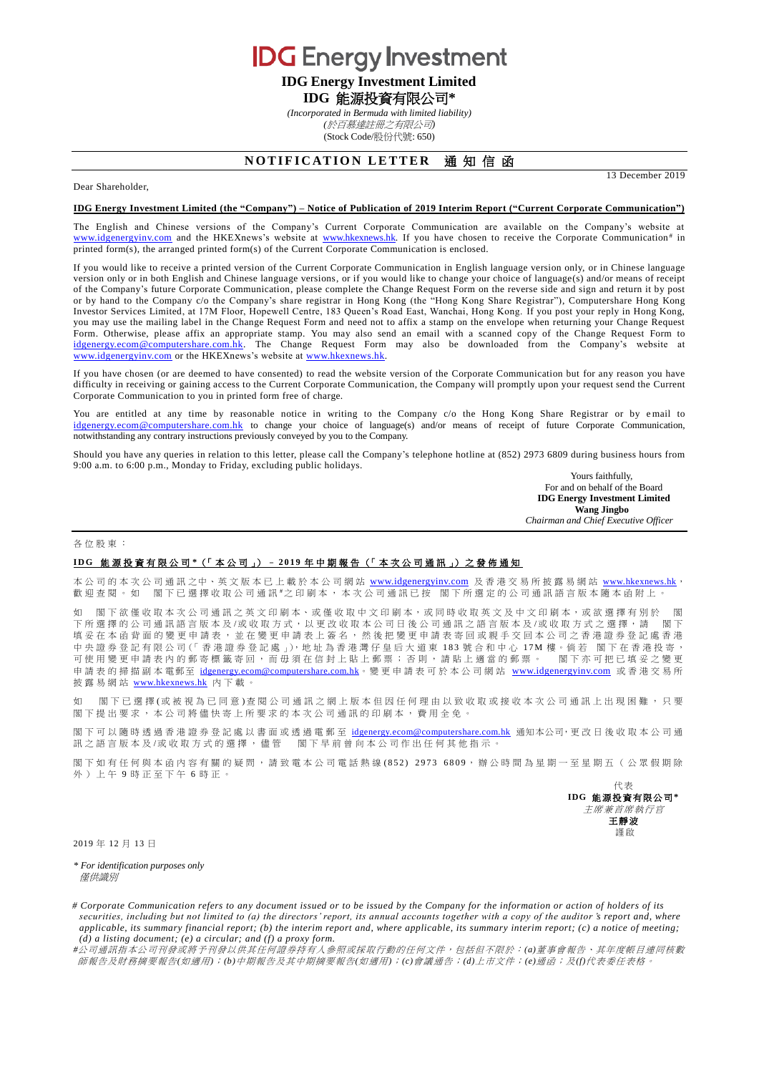**IDG** Energy Investment

# **IDG Energy Investment Limited IDG** 能源投資有限公司**\***

*(Incorporated in Bermuda with limited liability)*

*(*於百慕達註冊之有限公司*)*

(Stock Code/股份代號: 650)

## **NOTIFICATION LETTER 通知信函**

Dear Shareholder,

#### **IDG Energy Investment Limited (the "Company") – Notice of Publication of 2019 Interim Report ("Current Corporate Communication")**

The English and Chinese versions of the Company's Current Corporate Communication are available on the Company's website at [www.idgenergyinv.com](http://www.idgenergyinv.com/) and the HKEXnews's website at [www.hkexnews.hk.](http://www.hkexnews.hk/) If you have chosen to receive the Corporate Communication<sup>#</sup> in printed form(s), the arranged printed form(s) of the Current Corporate Communication is enclosed.

If you would like to receive a printed version of the Current Corporate Communication in English language version only, or in Chinese language version only or in both English and Chinese language versions, or if you would like to change your choice of language(s) and/or means of receipt of the Company's future Corporate Communication, please complete the Change Request Form on the reverse side and sign and return it by post or by hand to the Company c/o the Company's share registrar in Hong Kong (the "Hong Kong Share Registrar"), Computershare Hong Kong Investor Services Limited, at 17M Floor, Hopewell Centre, 183 Queen's Road East, Wanchai, Hong Kong. If you post your reply in Hong Kong, you may use the mailing label in the Change Request Form and need not to affix a stamp on the envelope when returning your Change Request Form. Otherwise, please affix an appropriate stamp. You may also send an email with a scanned copy of the Change Request Form to [idgenergy.ecom@computershare.com.hk.](mailto:idgenergy.ecom@computershare.com.hk) The Change Request Form may also be downloaded from the Company's website at [www.idgenergyinv.com](http://www.idgenergyinv.com/)</u> or the HKEXnews's website at [www.hkexnews.hk.](http://www.hkexnews.hk/)

If you have chosen (or are deemed to have consented) to read the website version of the Corporate Communication but for any reason you have difficulty in receiving or gaining access to the Current Corporate Communication, the Company will promptly upon your request send the Current Corporate Communication to you in printed form free of charge.

You are entitled at any time by reasonable notice in writing to the Company c/o the Hong Kong Share Registrar or by email to [idgenergy.ecom@computershare.com.hk](mailto:idgenergy.ecom@computershare.com.hk) to change your choice of language(s) and/or means of receipt of future Corporate Communication, notwithstanding any contrary instructions previously conveyed by you to the Company.

Should you have any queries in relation to this letter, please call the Company's telephone hotline at (852) 2973 6809 during business hours from 9:00 a.m. to 6:00 p.m., Monday to Friday, excluding public holidays.

> Yours faithfully, For and on behalf of the Board **IDG Energy Investment Limited Wang Jingbo** *Chairman and Chief Executive Officer*

13 December 2019

#### 各位股東 :

### **I D G** 能源投資有限公司 **\***(「 本 公 司 」) – **2 0 1 9** 年中期報告 (「 本次公司通訊 」) 之 發 佈 通 知

本公司的本次公司通訊之中、英文版本已上載於本公司網站 [www.idgenergyinv.com](http://www.idgenergyinv.com/) 及香港交易所披露易網站 [www.hkexnews.hk](http://www.hkexnews.hk/), 歡迎查閱。如 閣下已選擇收取公司通訊 "之印刷本,本次公司通訊已按 閣下所選定的公司通訊語言版本隨本函附上。

如 閣下欲僅收取本次公司通訊之英文印刷本、或僅收取中文印刷本,或同時收取英文及中文印刷本,或欲選擇有別於 下所選擇的公司通訊語言版本及/或收取方式,以更改收取本公司日後公司通訊之語言版本及/或收取方式之選擇,請 閣下 填妥 在 本 函 背 面 的 變 更 申 請 表 , 並 在 變 更 申 請 表 上 簽 名 , 然 後 把 變 更 申 請 表 寄 回 或 親 手 交 回 本 公 司 之 香 港 證 券 登 記 處 香 港 中央證券登記有限公司(「香港證券登記處」),地址為香港灣仔皇后大道東 183 號合和中心 17M 樓。倘若 閣下在香港投寄, 可使用變更申請表內的郵寄標籤寄回,而毋須在信封上貼上郵票;否則,請貼上適當的郵票。 閣下亦可把已填妥之變更 申請表的掃描副本電郵至 [idgenergy.ecom@computershare.com.hk](mailto:idgenergy.ecom@computershare.com.hk)。變更申請表可於本公司網站 [www.idgenergyinv.com](http://www.idgenergyinv.com/) 或香港交易所 披露易網站 [www.hkexnews.hk](http://www.hkexnews.hk/) 內 下載。

如 閣下已 選 擇 (或 被 視 為 已 同 意 ) 查 閱 公 司 通 訊 之 網 上 版 本 但 因 任 何 理 由 以 致 收 取 或 接 收 本 次 公 司 通 訊 上 出 現 困 難 ,只 要 閣下提出要求,本公司將儘快寄上所要求的本次公司通訊的印刷本,費用全免。

閣下可以隨時透過香港證券登記處以書面或透過電郵至 [idgenergy.ecom@computershare.com.hk](mailto:idgenergy.ecom@computershare.com.hk) 通知本公司,更改日後收取本公司通 訊之語言版本及/或收取方式的選擇,儘管 閣下早前曾向本公司作出任何其他指示。

閣下如 有任何與本 函 内 容 有 關 的 疑 問,請 致 電 本 公 司 電 話 熱 線 (852) 2973 6809,辦 公 時 間 為 星 期 一 至 星 期 五 ( 公 眾 假 期 除 外)上午 9 時正至下午 6 時正。

> 代表 **IDG** 能源投資有限公司**\*** 主席兼首席執行官 王靜波 謹啟

2019 年 12 月 13 日

*\* For identification purposes only* 僅供識別

*# Corporate Communication refers to any document issued or to be issued by the Company for the information or action of holders of its securities, including but not limited to (a) the directors' report, its annual accounts together with a copy of the auditor 's report and, where applicable, its summary financial report; (b) the interim report and, where applicable, its summary interim report; (c) a notice of meeting; (d) a listing document; (e) a circular; and (f) a proxy form.*

*#*公司通訊指本公司刊發或將予刊發以供其任何證券持有人參照或採取行動的任何文件,包括但不限於:*(a)*董事會報告、其年度帳目連同核數 師報告及財務摘要報告*(*如適用*)*;*(b)*中期報告及其中期摘要報告*(*如適用*)*;*(c)*會議通告;*(d)*上市文件;*(e)*通函;及*(f)*代表委任表格。